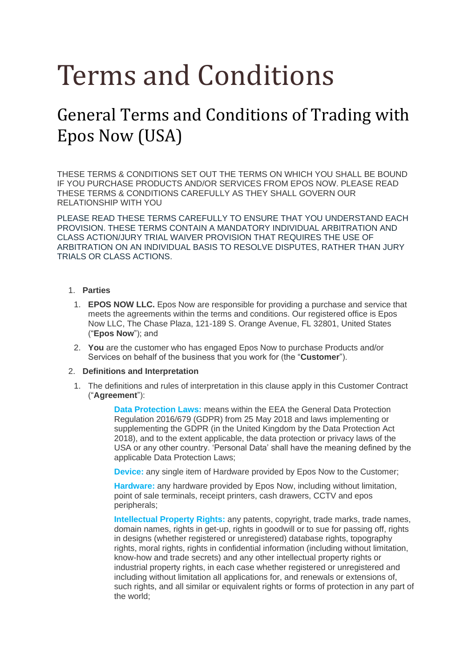# Terms and Conditions

# General Terms and Conditions of Trading with Epos Now (USA)

THESE TERMS & CONDITIONS SET OUT THE TERMS ON WHICH YOU SHALL BE BOUND IF YOU PURCHASE PRODUCTS AND/OR SERVICES FROM EPOS NOW. PLEASE READ THESE TERMS & CONDITIONS CAREFULLY AS THEY SHALL GOVERN OUR RELATIONSHIP WITH YOU

PLEASE READ THESE TERMS CAREFULLY TO ENSURE THAT YOU UNDERSTAND EACH PROVISION. THESE TERMS CONTAIN A MANDATORY INDIVIDUAL ARBITRATION AND CLASS ACTION/JURY TRIAL WAIVER PROVISION THAT REQUIRES THE USE OF ARBITRATION ON AN INDIVIDUAL BASIS TO RESOLVE DISPUTES, RATHER THAN JURY TRIALS OR CLASS ACTIONS.

# 1. **Parties**

- 1. **EPOS NOW LLC.** Epos Now are responsible for providing a purchase and service that meets the agreements within the terms and conditions. Our registered office is Epos Now LLC, The Chase Plaza, 121-189 S. Orange Avenue, FL 32801, United States ("**Epos Now**"); and
- 2. **You** are the customer who has engaged Epos Now to purchase Products and/or Services on behalf of the business that you work for (the "**Customer**").

# 2. **Definitions and Interpretation**

1. The definitions and rules of interpretation in this clause apply in this Customer Contract ("**Agreement**"):

> **Data Protection Laws:** means within the EEA the General Data Protection Regulation 2016/679 (GDPR) from 25 May 2018 and laws implementing or supplementing the GDPR (in the United Kingdom by the Data Protection Act 2018), and to the extent applicable, the data protection or privacy laws of the USA or any other country. 'Personal Data' shall have the meaning defined by the applicable Data Protection Laws;

**Device:** any single item of Hardware provided by Epos Now to the Customer;

**Hardware:** any hardware provided by Epos Now, including without limitation, point of sale terminals, receipt printers, cash drawers, CCTV and epos peripherals;

**Intellectual Property Rights:** any patents, copyright, trade marks, trade names, domain names, rights in get-up, rights in goodwill or to sue for passing off, rights in designs (whether registered or unregistered) database rights, topography rights, moral rights, rights in confidential information (including without limitation, know-how and trade secrets) and any other intellectual property rights or industrial property rights, in each case whether registered or unregistered and including without limitation all applications for, and renewals or extensions of, such rights, and all similar or equivalent rights or forms of protection in any part of the world;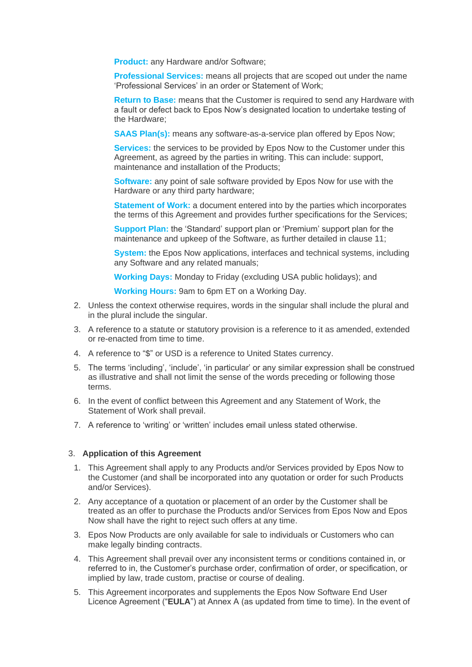**Product:** any Hardware and/or Software;

**Professional Services:** means all projects that are scoped out under the name 'Professional Services' in an order or Statement of Work;

**Return to Base:** means that the Customer is required to send any Hardware with a fault or defect back to Epos Now's designated location to undertake testing of the Hardware;

**SAAS Plan(s):** means any software-as-a-service plan offered by Epos Now;

**Services:** the services to be provided by Epos Now to the Customer under this Agreement, as agreed by the parties in writing. This can include: support, maintenance and installation of the Products;

**Software:** any point of sale software provided by Epos Now for use with the Hardware or any third party hardware;

**Statement of Work:** a document entered into by the parties which incorporates the terms of this Agreement and provides further specifications for the Services;

**Support Plan:** the 'Standard' support plan or 'Premium' support plan for the maintenance and upkeep of the Software, as further detailed in clause 11;

**System:** the Epos Now applications, interfaces and technical systems, including any Software and any related manuals;

**Working Days:** Monday to Friday (excluding USA public holidays); and

**Working Hours:** 9am to 6pm ET on a Working Day.

- 2. Unless the context otherwise requires, words in the singular shall include the plural and in the plural include the singular.
- 3. A reference to a statute or statutory provision is a reference to it as amended, extended or re-enacted from time to time.
- 4. A reference to "\$" or USD is a reference to United States currency.
- 5. The terms 'including', 'include', 'in particular' or any similar expression shall be construed as illustrative and shall not limit the sense of the words preceding or following those terms.
- 6. In the event of conflict between this Agreement and any Statement of Work, the Statement of Work shall prevail.
- 7. A reference to 'writing' or 'written' includes email unless stated otherwise.

#### 3. **Application of this Agreement**

- 1. This Agreement shall apply to any Products and/or Services provided by Epos Now to the Customer (and shall be incorporated into any quotation or order for such Products and/or Services).
- 2. Any acceptance of a quotation or placement of an order by the Customer shall be treated as an offer to purchase the Products and/or Services from Epos Now and Epos Now shall have the right to reject such offers at any time.
- 3. Epos Now Products are only available for sale to individuals or Customers who can make legally binding contracts.
- 4. This Agreement shall prevail over any inconsistent terms or conditions contained in, or referred to in, the Customer's purchase order, confirmation of order, or specification, or implied by law, trade custom, practise or course of dealing.
- 5. This Agreement incorporates and supplements the Epos Now Software End User Licence Agreement ("**EULA**") at Annex A (as updated from time to time). In the event of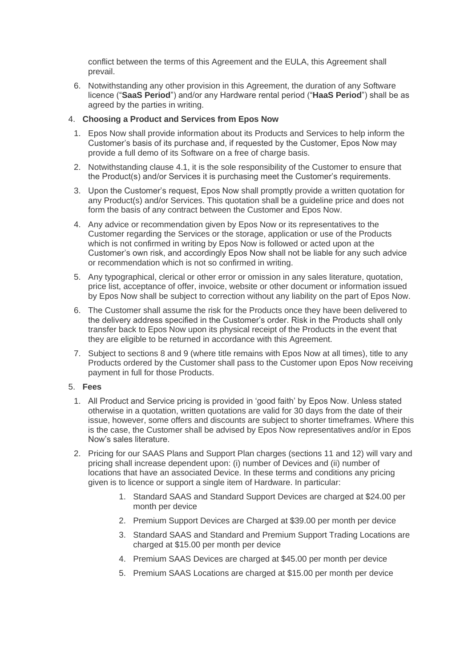conflict between the terms of this Agreement and the EULA, this Agreement shall prevail.

6. Notwithstanding any other provision in this Agreement, the duration of any Software licence ("**SaaS Period**") and/or any Hardware rental period ("**HaaS Period**") shall be as agreed by the parties in writing.

# 4. **Choosing a Product and Services from Epos Now**

- 1. Epos Now shall provide information about its Products and Services to help inform the Customer's basis of its purchase and, if requested by the Customer, Epos Now may provide a full demo of its Software on a free of charge basis.
- 2. Notwithstanding clause 4.1, it is the sole responsibility of the Customer to ensure that the Product(s) and/or Services it is purchasing meet the Customer's requirements.
- 3. Upon the Customer's request, Epos Now shall promptly provide a written quotation for any Product(s) and/or Services. This quotation shall be a guideline price and does not form the basis of any contract between the Customer and Epos Now.
- 4. Any advice or recommendation given by Epos Now or its representatives to the Customer regarding the Services or the storage, application or use of the Products which is not confirmed in writing by Epos Now is followed or acted upon at the Customer's own risk, and accordingly Epos Now shall not be liable for any such advice or recommendation which is not so confirmed in writing.
- 5. Any typographical, clerical or other error or omission in any sales literature, quotation, price list, acceptance of offer, invoice, website or other document or information issued by Epos Now shall be subject to correction without any liability on the part of Epos Now.
- 6. The Customer shall assume the risk for the Products once they have been delivered to the delivery address specified in the Customer's order. Risk in the Products shall only transfer back to Epos Now upon its physical receipt of the Products in the event that they are eligible to be returned in accordance with this Agreement.
- 7. Subject to sections 8 and 9 (where title remains with Epos Now at all times), title to any Products ordered by the Customer shall pass to the Customer upon Epos Now receiving payment in full for those Products.

# 5. **Fees**

- 1. All Product and Service pricing is provided in 'good faith' by Epos Now. Unless stated otherwise in a quotation, written quotations are valid for 30 days from the date of their issue, however, some offers and discounts are subject to shorter timeframes. Where this is the case, the Customer shall be advised by Epos Now representatives and/or in Epos Now's sales literature.
- 2. Pricing for our SAAS Plans and Support Plan charges (sections 11 and 12) will vary and pricing shall increase dependent upon: (i) number of Devices and (ii) number of locations that have an associated Device. In these terms and conditions any pricing given is to licence or support a single item of Hardware. In particular:
	- 1. Standard SAAS and Standard Support Devices are charged at \$24.00 per month per device
	- 2. Premium Support Devices are Charged at \$39.00 per month per device
	- 3. Standard SAAS and Standard and Premium Support Trading Locations are charged at \$15.00 per month per device
	- 4. Premium SAAS Devices are charged at \$45.00 per month per device
	- 5. Premium SAAS Locations are charged at \$15.00 per month per device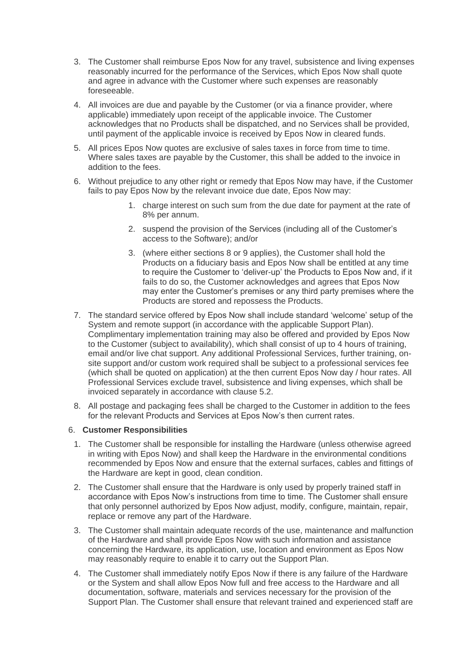- 3. The Customer shall reimburse Epos Now for any travel, subsistence and living expenses reasonably incurred for the performance of the Services, which Epos Now shall quote and agree in advance with the Customer where such expenses are reasonably foreseeable.
- 4. All invoices are due and payable by the Customer (or via a finance provider, where applicable) immediately upon receipt of the applicable invoice. The Customer acknowledges that no Products shall be dispatched, and no Services shall be provided, until payment of the applicable invoice is received by Epos Now in cleared funds.
- 5. All prices Epos Now quotes are exclusive of sales taxes in force from time to time. Where sales taxes are payable by the Customer, this shall be added to the invoice in addition to the fees.
- 6. Without prejudice to any other right or remedy that Epos Now may have, if the Customer fails to pay Epos Now by the relevant invoice due date, Epos Now may:
	- 1. charge interest on such sum from the due date for payment at the rate of 8% per annum.
	- 2. suspend the provision of the Services (including all of the Customer's access to the Software); and/or
	- 3. (where either sections 8 or 9 applies), the Customer shall hold the Products on a fiduciary basis and Epos Now shall be entitled at any time to require the Customer to 'deliver-up' the Products to Epos Now and, if it fails to do so, the Customer acknowledges and agrees that Epos Now may enter the Customer's premises or any third party premises where the Products are stored and repossess the Products.
- 7. The standard service offered by Epos Now shall include standard 'welcome' setup of the System and remote support (in accordance with the applicable Support Plan). Complimentary implementation training may also be offered and provided by Epos Now to the Customer (subject to availability), which shall consist of up to 4 hours of training, email and/or live chat support. Any additional Professional Services, further training, onsite support and/or custom work required shall be subject to a professional services fee (which shall be quoted on application) at the then current Epos Now day / hour rates. All Professional Services exclude travel, subsistence and living expenses, which shall be invoiced separately in accordance with clause 5.2.
- 8. All postage and packaging fees shall be charged to the Customer in addition to the fees for the relevant Products and Services at Epos Now's then current rates.

# 6. **Customer Responsibilities**

- 1. The Customer shall be responsible for installing the Hardware (unless otherwise agreed in writing with Epos Now) and shall keep the Hardware in the environmental conditions recommended by Epos Now and ensure that the external surfaces, cables and fittings of the Hardware are kept in good, clean condition.
- 2. The Customer shall ensure that the Hardware is only used by properly trained staff in accordance with Epos Now's instructions from time to time. The Customer shall ensure that only personnel authorized by Epos Now adjust, modify, configure, maintain, repair, replace or remove any part of the Hardware.
- 3. The Customer shall maintain adequate records of the use, maintenance and malfunction of the Hardware and shall provide Epos Now with such information and assistance concerning the Hardware, its application, use, location and environment as Epos Now may reasonably require to enable it to carry out the Support Plan.
- 4. The Customer shall immediately notify Epos Now if there is any failure of the Hardware or the System and shall allow Epos Now full and free access to the Hardware and all documentation, software, materials and services necessary for the provision of the Support Plan. The Customer shall ensure that relevant trained and experienced staff are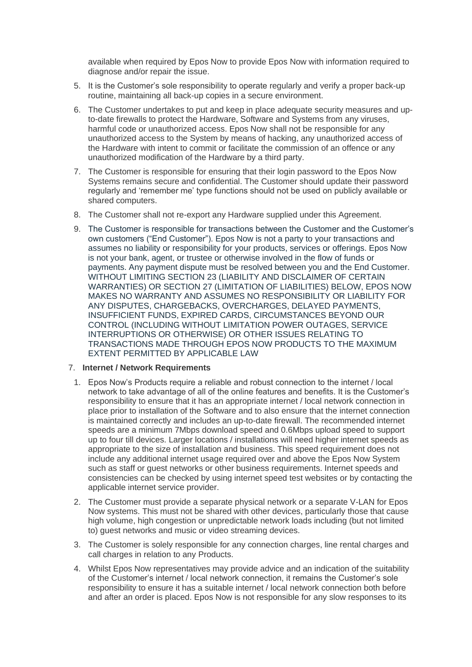available when required by Epos Now to provide Epos Now with information required to diagnose and/or repair the issue.

- 5. It is the Customer's sole responsibility to operate regularly and verify a proper back-up routine, maintaining all back-up copies in a secure environment.
- 6. The Customer undertakes to put and keep in place adequate security measures and upto-date firewalls to protect the Hardware, Software and Systems from any viruses, harmful code or unauthorized access. Epos Now shall not be responsible for any unauthorized access to the System by means of hacking, any unauthorized access of the Hardware with intent to commit or facilitate the commission of an offence or any unauthorized modification of the Hardware by a third party.
- 7. The Customer is responsible for ensuring that their login password to the Epos Now Systems remains secure and confidential. The Customer should update their password regularly and 'remember me' type functions should not be used on publicly available or shared computers.
- 8. The Customer shall not re-export any Hardware supplied under this Agreement.
- 9. The Customer is responsible for transactions between the Customer and the Customer's own customers ("End Customer"). Epos Now is not a party to your transactions and assumes no liability or responsibility for your products, services or offerings. Epos Now is not your bank, agent, or trustee or otherwise involved in the flow of funds or payments. Any payment dispute must be resolved between you and the End Customer. WITHOUT LIMITING SECTION 23 (LIABILITY AND DISCLAIMER OF CERTAIN WARRANTIES) OR SECTION 27 (LIMITATION OF LIABILITIES) BELOW, EPOS NOW MAKES NO WARRANTY AND ASSUMES NO RESPONSIBILITY OR LIABILITY FOR ANY DISPUTES, CHARGEBACKS, OVERCHARGES, DELAYED PAYMENTS, INSUFFICIENT FUNDS, EXPIRED CARDS, CIRCUMSTANCES BEYOND OUR CONTROL (INCLUDING WITHOUT LIMITATION POWER OUTAGES, SERVICE INTERRUPTIONS OR OTHERWISE) OR OTHER ISSUES RELATING TO TRANSACTIONS MADE THROUGH EPOS NOW PRODUCTS TO THE MAXIMUM EXTENT PERMITTED BY APPLICABLE LAW

# 7. **Internet / Network Requirements**

- 1. Epos Now's Products require a reliable and robust connection to the internet / local network to take advantage of all of the online features and benefits. It is the Customer's responsibility to ensure that it has an appropriate internet / local network connection in place prior to installation of the Software and to also ensure that the internet connection is maintained correctly and includes an up-to-date firewall. The recommended internet speeds are a minimum 7Mbps download speed and 0.6Mbps upload speed to support up to four till devices. Larger locations / installations will need higher internet speeds as appropriate to the size of installation and business. This speed requirement does not include any additional internet usage required over and above the Epos Now System such as staff or guest networks or other business requirements. Internet speeds and consistencies can be checked by using internet speed test websites or by contacting the applicable internet service provider.
- 2. The Customer must provide a separate physical network or a separate V-LAN for Epos Now systems. This must not be shared with other devices, particularly those that cause high volume, high congestion or unpredictable network loads including (but not limited to) guest networks and music or video streaming devices.
- 3. The Customer is solely responsible for any connection charges, line rental charges and call charges in relation to any Products.
- 4. Whilst Epos Now representatives may provide advice and an indication of the suitability of the Customer's internet / local network connection, it remains the Customer's sole responsibility to ensure it has a suitable internet / local network connection both before and after an order is placed. Epos Now is not responsible for any slow responses to its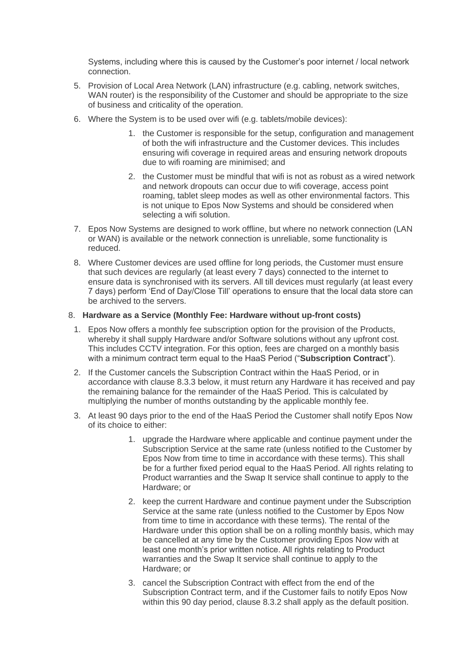Systems, including where this is caused by the Customer's poor internet / local network connection.

- 5. Provision of Local Area Network (LAN) infrastructure (e.g. cabling, network switches, WAN router) is the responsibility of the Customer and should be appropriate to the size of business and criticality of the operation.
- 6. Where the System is to be used over wifi (e.g. tablets/mobile devices):
	- 1. the Customer is responsible for the setup, configuration and management of both the wifi infrastructure and the Customer devices. This includes ensuring wifi coverage in required areas and ensuring network dropouts due to wifi roaming are minimised; and
	- 2. the Customer must be mindful that wifi is not as robust as a wired network and network dropouts can occur due to wifi coverage, access point roaming, tablet sleep modes as well as other environmental factors. This is not unique to Epos Now Systems and should be considered when selecting a wifi solution.
- 7. Epos Now Systems are designed to work offline, but where no network connection (LAN or WAN) is available or the network connection is unreliable, some functionality is reduced.
- 8. Where Customer devices are used offline for long periods, the Customer must ensure that such devices are regularly (at least every 7 days) connected to the internet to ensure data is synchronised with its servers. All till devices must regularly (at least every 7 days) perform 'End of Day/Close Till' operations to ensure that the local data store can be archived to the servers.

# 8. **Hardware as a Service (Monthly Fee: Hardware without up-front costs)**

- 1. Epos Now offers a monthly fee subscription option for the provision of the Products, whereby it shall supply Hardware and/or Software solutions without any upfront cost. This includes CCTV integration. For this option, fees are charged on a monthly basis with a minimum contract term equal to the HaaS Period ("**Subscription Contract**").
- 2. If the Customer cancels the Subscription Contract within the HaaS Period, or in accordance with clause 8.3.3 below, it must return any Hardware it has received and pay the remaining balance for the remainder of the HaaS Period. This is calculated by multiplying the number of months outstanding by the applicable monthly fee.
- 3. At least 90 days prior to the end of the HaaS Period the Customer shall notify Epos Now of its choice to either:
	- 1. upgrade the Hardware where applicable and continue payment under the Subscription Service at the same rate (unless notified to the Customer by Epos Now from time to time in accordance with these terms). This shall be for a further fixed period equal to the HaaS Period. All rights relating to Product warranties and the Swap It service shall continue to apply to the Hardware; or
	- 2. keep the current Hardware and continue payment under the Subscription Service at the same rate (unless notified to the Customer by Epos Now from time to time in accordance with these terms). The rental of the Hardware under this option shall be on a rolling monthly basis, which may be cancelled at any time by the Customer providing Epos Now with at least one month's prior written notice. All rights relating to Product warranties and the Swap It service shall continue to apply to the Hardware; or
	- 3. cancel the Subscription Contract with effect from the end of the Subscription Contract term, and if the Customer fails to notify Epos Now within this 90 day period, clause 8.3.2 shall apply as the default position.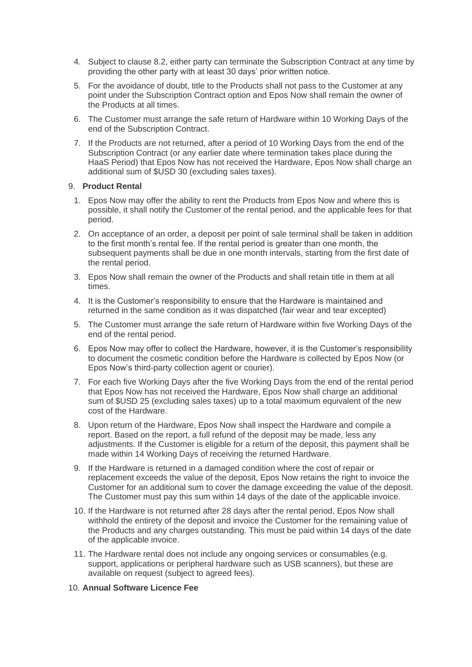- 4. Subject to clause 8.2, either party can terminate the Subscription Contract at any time by providing the other party with at least 30 days' prior written notice.
- 5. For the avoidance of doubt, title to the Products shall not pass to the Customer at any point under the Subscription Contract option and Epos Now shall remain the owner of the Products at all times.
- 6. The Customer must arrange the safe return of Hardware within 10 Working Days of the end of the Subscription Contract.
- 7. If the Products are not returned, after a period of 10 Working Days from the end of the Subscription Contract (or any earlier date where termination takes place during the HaaS Period) that Epos Now has not received the Hardware, Epos Now shall charge an additional sum of \$USD 30 (excluding sales taxes).

# 9. **Product Rental**

- 1. Epos Now may offer the ability to rent the Products from Epos Now and where this is possible, it shall notify the Customer of the rental period, and the applicable fees for that period.
- 2. On acceptance of an order, a deposit per point of sale terminal shall be taken in addition to the first month's rental fee. If the rental period is greater than one month, the subsequent payments shall be due in one month intervals, starting from the first date of the rental period.
- 3. Epos Now shall remain the owner of the Products and shall retain title in them at all times.
- 4. It is the Customer's responsibility to ensure that the Hardware is maintained and returned in the same condition as it was dispatched (fair wear and tear excepted)
- 5. The Customer must arrange the safe return of Hardware within five Working Days of the end of the rental period.
- 6. Epos Now may offer to collect the Hardware, however, it is the Customer's responsibility to document the cosmetic condition before the Hardware is collected by Epos Now (or Epos Now's third-party collection agent or courier).
- 7. For each five Working Days after the five Working Days from the end of the rental period that Epos Now has not received the Hardware, Epos Now shall charge an additional sum of \$USD 25 (excluding sales taxes) up to a total maximum equivalent of the new cost of the Hardware.
- 8. Upon return of the Hardware, Epos Now shall inspect the Hardware and compile a report. Based on the report, a full refund of the deposit may be made, less any adjustments. If the Customer is eligible for a return of the deposit, this payment shall be made within 14 Working Days of receiving the returned Hardware.
- 9. If the Hardware is returned in a damaged condition where the cost of repair or replacement exceeds the value of the deposit, Epos Now retains the right to invoice the Customer for an additional sum to cover the damage exceeding the value of the deposit. The Customer must pay this sum within 14 days of the date of the applicable invoice.
- 10. If the Hardware is not returned after 28 days after the rental period, Epos Now shall withhold the entirety of the deposit and invoice the Customer for the remaining value of the Products and any charges outstanding. This must be paid within 14 days of the date of the applicable invoice.
- 11. The Hardware rental does not include any ongoing services or consumables (e.g. support, applications or peripheral hardware such as USB scanners), but these are available on request (subject to agreed fees).

# 10. **Annual Software Licence Fee**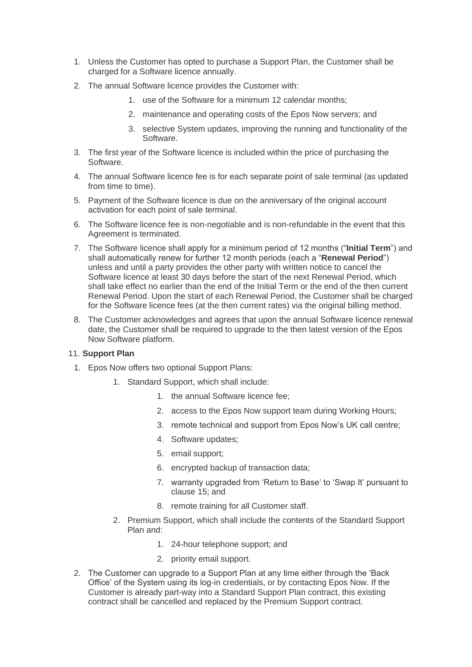- 1. Unless the Customer has opted to purchase a Support Plan, the Customer shall be charged for a Software licence annually.
- 2. The annual Software licence provides the Customer with:
	- 1. use of the Software for a minimum 12 calendar months;
	- 2. maintenance and operating costs of the Epos Now servers; and
	- 3. selective System updates, improving the running and functionality of the Software.
- 3. The first year of the Software licence is included within the price of purchasing the Software.
- 4. The annual Software licence fee is for each separate point of sale terminal (as updated from time to time).
- 5. Payment of the Software licence is due on the anniversary of the original account activation for each point of sale terminal.
- 6. The Software licence fee is non-negotiable and is non-refundable in the event that this Agreement is terminated.
- 7. The Software licence shall apply for a minimum period of 12 months ("**Initial Term**") and shall automatically renew for further 12 month periods (each a "**Renewal Period**") unless and until a party provides the other party with written notice to cancel the Software licence at least 30 days before the start of the next Renewal Period, which shall take effect no earlier than the end of the Initial Term or the end of the then current Renewal Period. Upon the start of each Renewal Period, the Customer shall be charged for the Software licence fees (at the then current rates) via the original billing method.
- 8. The Customer acknowledges and agrees that upon the annual Software licence renewal date, the Customer shall be required to upgrade to the then latest version of the Epos Now Software platform.

# 11. **Support Plan**

- 1. Epos Now offers two optional Support Plans:
	- 1. Standard Support, which shall include:
		- 1. the annual Software licence fee;
		- 2. access to the Epos Now support team during Working Hours;
		- 3. remote technical and support from Epos Now's UK call centre;
		- 4. Software updates;
		- 5. email support;
		- 6. encrypted backup of transaction data;
		- 7. warranty upgraded from 'Return to Base' to 'Swap It' pursuant to clause 15; and
		- 8. remote training for all Customer staff.
	- 2. Premium Support, which shall include the contents of the Standard Support Plan and:
		- 1. 24-hour telephone support; and
		- 2. priority email support.
- 2. The Customer can upgrade to a Support Plan at any time either through the 'Back Office' of the System using its log-in credentials, or by contacting Epos Now. If the Customer is already part-way into a Standard Support Plan contract, this existing contract shall be cancelled and replaced by the Premium Support contract.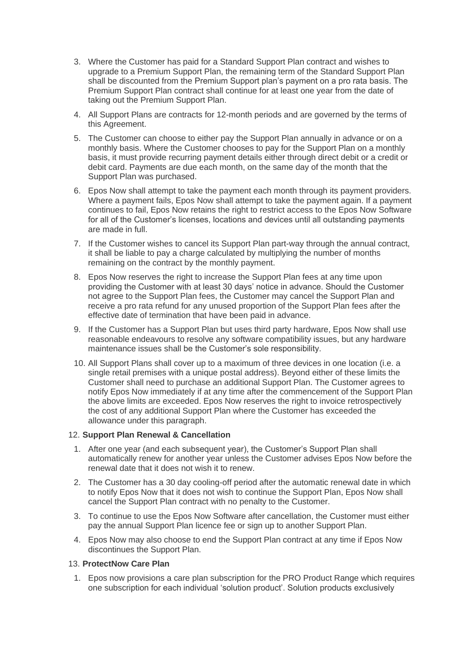- 3. Where the Customer has paid for a Standard Support Plan contract and wishes to upgrade to a Premium Support Plan, the remaining term of the Standard Support Plan shall be discounted from the Premium Support plan's payment on a pro rata basis. The Premium Support Plan contract shall continue for at least one year from the date of taking out the Premium Support Plan.
- 4. All Support Plans are contracts for 12-month periods and are governed by the terms of this Agreement.
- 5. The Customer can choose to either pay the Support Plan annually in advance or on a monthly basis. Where the Customer chooses to pay for the Support Plan on a monthly basis, it must provide recurring payment details either through direct debit or a credit or debit card. Payments are due each month, on the same day of the month that the Support Plan was purchased.
- 6. Epos Now shall attempt to take the payment each month through its payment providers. Where a payment fails, Epos Now shall attempt to take the payment again. If a payment continues to fail, Epos Now retains the right to restrict access to the Epos Now Software for all of the Customer's licenses, locations and devices until all outstanding payments are made in full.
- 7. If the Customer wishes to cancel its Support Plan part-way through the annual contract, it shall be liable to pay a charge calculated by multiplying the number of months remaining on the contract by the monthly payment.
- 8. Epos Now reserves the right to increase the Support Plan fees at any time upon providing the Customer with at least 30 days' notice in advance. Should the Customer not agree to the Support Plan fees, the Customer may cancel the Support Plan and receive a pro rata refund for any unused proportion of the Support Plan fees after the effective date of termination that have been paid in advance.
- 9. If the Customer has a Support Plan but uses third party hardware, Epos Now shall use reasonable endeavours to resolve any software compatibility issues, but any hardware maintenance issues shall be the Customer's sole responsibility.
- 10. All Support Plans shall cover up to a maximum of three devices in one location (i.e. a single retail premises with a unique postal address). Beyond either of these limits the Customer shall need to purchase an additional Support Plan. The Customer agrees to notify Epos Now immediately if at any time after the commencement of the Support Plan the above limits are exceeded. Epos Now reserves the right to invoice retrospectively the cost of any additional Support Plan where the Customer has exceeded the allowance under this paragraph.

# 12. **Support Plan Renewal & Cancellation**

- 1. After one year (and each subsequent year), the Customer's Support Plan shall automatically renew for another year unless the Customer advises Epos Now before the renewal date that it does not wish it to renew.
- 2. The Customer has a 30 day cooling-off period after the automatic renewal date in which to notify Epos Now that it does not wish to continue the Support Plan, Epos Now shall cancel the Support Plan contract with no penalty to the Customer.
- 3. To continue to use the Epos Now Software after cancellation, the Customer must either pay the annual Support Plan licence fee or sign up to another Support Plan.
- 4. Epos Now may also choose to end the Support Plan contract at any time if Epos Now discontinues the Support Plan.

#### 13. **ProtectNow Care Plan**

1. Epos now provisions a care plan subscription for the PRO Product Range which requires one subscription for each individual 'solution product'. Solution products exclusively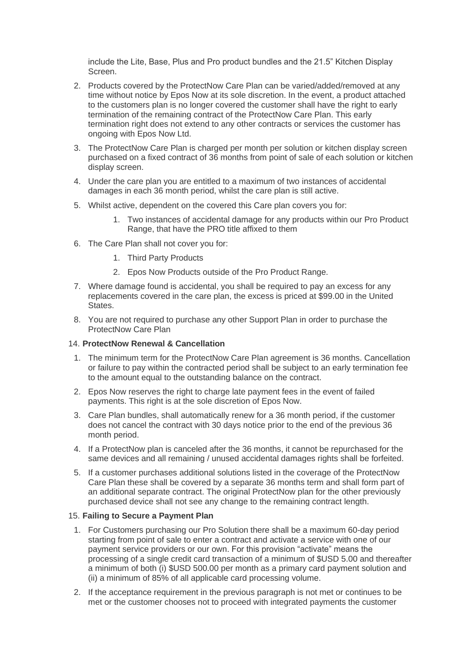include the Lite, Base, Plus and Pro product bundles and the 21.5" Kitchen Display Screen.

- 2. Products covered by the ProtectNow Care Plan can be varied/added/removed at any time without notice by Epos Now at its sole discretion. In the event, a product attached to the customers plan is no longer covered the customer shall have the right to early termination of the remaining contract of the ProtectNow Care Plan. This early termination right does not extend to any other contracts or services the customer has ongoing with Epos Now Ltd.
- 3. The ProtectNow Care Plan is charged per month per solution or kitchen display screen purchased on a fixed contract of 36 months from point of sale of each solution or kitchen display screen.
- 4. Under the care plan you are entitled to a maximum of two instances of accidental damages in each 36 month period, whilst the care plan is still active.
- 5. Whilst active, dependent on the covered this Care plan covers you for:
	- 1. Two instances of accidental damage for any products within our Pro Product Range, that have the PRO title affixed to them
- 6. The Care Plan shall not cover you for:
	- 1. Third Party Products
	- 2. Epos Now Products outside of the Pro Product Range.
- 7. Where damage found is accidental, you shall be required to pay an excess for any replacements covered in the care plan, the excess is priced at \$99.00 in the United States.
- 8. You are not required to purchase any other Support Plan in order to purchase the ProtectNow Care Plan

# 14. **ProtectNow Renewal & Cancellation**

- 1. The minimum term for the ProtectNow Care Plan agreement is 36 months. Cancellation or failure to pay within the contracted period shall be subject to an early termination fee to the amount equal to the outstanding balance on the contract.
- 2. Epos Now reserves the right to charge late payment fees in the event of failed payments. This right is at the sole discretion of Epos Now.
- 3. Care Plan bundles, shall automatically renew for a 36 month period, if the customer does not cancel the contract with 30 days notice prior to the end of the previous 36 month period.
- 4. If a ProtectNow plan is canceled after the 36 months, it cannot be repurchased for the same devices and all remaining / unused accidental damages rights shall be forfeited.
- 5. If a customer purchases additional solutions listed in the coverage of the ProtectNow Care Plan these shall be covered by a separate 36 months term and shall form part of an additional separate contract. The original ProtectNow plan for the other previously purchased device shall not see any change to the remaining contract length.

# 15. **Failing to Secure a Payment Plan**

- 1. For Customers purchasing our Pro Solution there shall be a maximum 60-day period starting from point of sale to enter a contract and activate a service with one of our payment service providers or our own. For this provision "activate" means the processing of a single credit card transaction of a minimum of \$USD 5.00 and thereafter a minimum of both (i) \$USD 500.00 per month as a primary card payment solution and (ii) a minimum of 85% of all applicable card processing volume.
- 2. If the acceptance requirement in the previous paragraph is not met or continues to be met or the customer chooses not to proceed with integrated payments the customer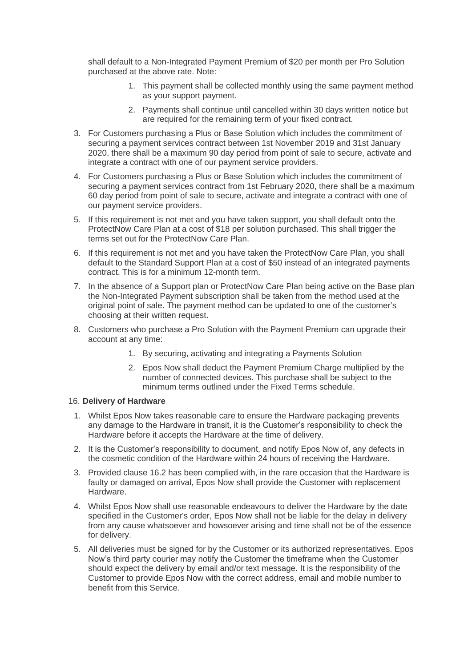shall default to a Non-Integrated Payment Premium of \$20 per month per Pro Solution purchased at the above rate. Note:

- 1. This payment shall be collected monthly using the same payment method as your support payment.
- 2. Payments shall continue until cancelled within 30 days written notice but are required for the remaining term of your fixed contract.
- 3. For Customers purchasing a Plus or Base Solution which includes the commitment of securing a payment services contract between 1st November 2019 and 31st January 2020, there shall be a maximum 90 day period from point of sale to secure, activate and integrate a contract with one of our payment service providers.
- 4. For Customers purchasing a Plus or Base Solution which includes the commitment of securing a payment services contract from 1st February 2020, there shall be a maximum 60 day period from point of sale to secure, activate and integrate a contract with one of our payment service providers.
- 5. If this requirement is not met and you have taken support, you shall default onto the ProtectNow Care Plan at a cost of \$18 per solution purchased. This shall trigger the terms set out for the ProtectNow Care Plan.
- 6. If this requirement is not met and you have taken the ProtectNow Care Plan, you shall default to the Standard Support Plan at a cost of \$50 instead of an integrated payments contract. This is for a minimum 12-month term.
- 7. In the absence of a Support plan or ProtectNow Care Plan being active on the Base plan the Non-Integrated Payment subscription shall be taken from the method used at the original point of sale. The payment method can be updated to one of the customer's choosing at their written request.
- 8. Customers who purchase a Pro Solution with the Payment Premium can upgrade their account at any time:
	- 1. By securing, activating and integrating a Payments Solution
	- 2. Epos Now shall deduct the Payment Premium Charge multiplied by the number of connected devices. This purchase shall be subject to the minimum terms outlined under the Fixed Terms schedule.

#### 16. **Delivery of Hardware**

- 1. Whilst Epos Now takes reasonable care to ensure the Hardware packaging prevents any damage to the Hardware in transit, it is the Customer's responsibility to check the Hardware before it accepts the Hardware at the time of delivery.
- 2. It is the Customer's responsibility to document, and notify Epos Now of, any defects in the cosmetic condition of the Hardware within 24 hours of receiving the Hardware.
- 3. Provided clause 16.2 has been complied with, in the rare occasion that the Hardware is faulty or damaged on arrival, Epos Now shall provide the Customer with replacement Hardware.
- 4. Whilst Epos Now shall use reasonable endeavours to deliver the Hardware by the date specified in the Customer's order, Epos Now shall not be liable for the delay in delivery from any cause whatsoever and howsoever arising and time shall not be of the essence for delivery.
- 5. All deliveries must be signed for by the Customer or its authorized representatives. Epos Now's third party courier may notify the Customer the timeframe when the Customer should expect the delivery by email and/or text message. It is the responsibility of the Customer to provide Epos Now with the correct address, email and mobile number to benefit from this Service.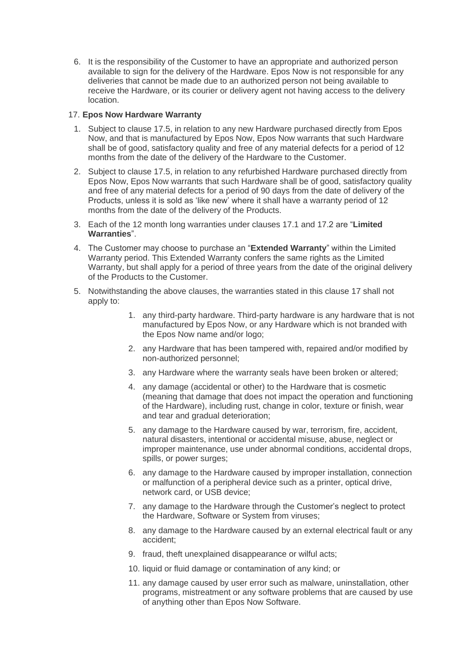6. It is the responsibility of the Customer to have an appropriate and authorized person available to sign for the delivery of the Hardware. Epos Now is not responsible for any deliveries that cannot be made due to an authorized person not being available to receive the Hardware, or its courier or delivery agent not having access to the delivery location.

# 17. **Epos Now Hardware Warranty**

- 1. Subject to clause 17.5, in relation to any new Hardware purchased directly from Epos Now, and that is manufactured by Epos Now, Epos Now warrants that such Hardware shall be of good, satisfactory quality and free of any material defects for a period of 12 months from the date of the delivery of the Hardware to the Customer.
- 2. Subject to clause 17.5, in relation to any refurbished Hardware purchased directly from Epos Now, Epos Now warrants that such Hardware shall be of good, satisfactory quality and free of any material defects for a period of 90 days from the date of delivery of the Products, unless it is sold as 'like new' where it shall have a warranty period of 12 months from the date of the delivery of the Products.
- 3. Each of the 12 month long warranties under clauses 17.1 and 17.2 are "**Limited Warranties**".
- 4. The Customer may choose to purchase an "**Extended Warranty**" within the Limited Warranty period. This Extended Warranty confers the same rights as the Limited Warranty, but shall apply for a period of three years from the date of the original delivery of the Products to the Customer.
- 5. Notwithstanding the above clauses, the warranties stated in this clause 17 shall not apply to:
	- 1. any third-party hardware. Third-party hardware is any hardware that is not manufactured by Epos Now, or any Hardware which is not branded with the Epos Now name and/or logo;
	- 2. any Hardware that has been tampered with, repaired and/or modified by non-authorized personnel;
	- 3. any Hardware where the warranty seals have been broken or altered;
	- 4. any damage (accidental or other) to the Hardware that is cosmetic (meaning that damage that does not impact the operation and functioning of the Hardware), including rust, change in color, texture or finish, wear and tear and gradual deterioration;
	- 5. any damage to the Hardware caused by war, terrorism, fire, accident, natural disasters, intentional or accidental misuse, abuse, neglect or improper maintenance, use under abnormal conditions, accidental drops, spills, or power surges;
	- 6. any damage to the Hardware caused by improper installation, connection or malfunction of a peripheral device such as a printer, optical drive, network card, or USB device;
	- 7. any damage to the Hardware through the Customer's neglect to protect the Hardware, Software or System from viruses;
	- 8. any damage to the Hardware caused by an external electrical fault or any accident;
	- 9. fraud, theft unexplained disappearance or wilful acts;
	- 10. liquid or fluid damage or contamination of any kind; or
	- 11. any damage caused by user error such as malware, uninstallation, other programs, mistreatment or any software problems that are caused by use of anything other than Epos Now Software.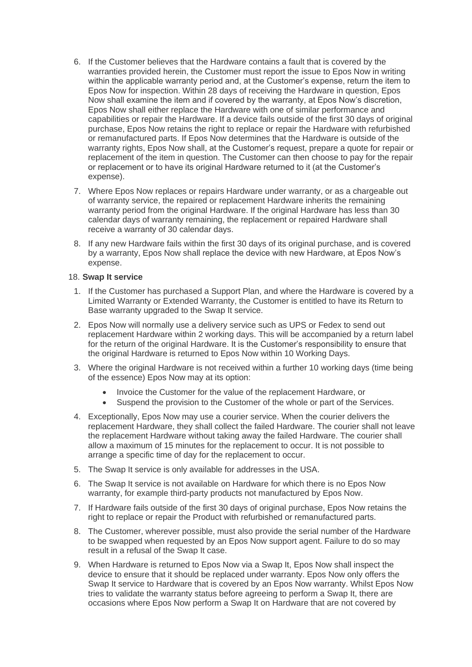- 6. If the Customer believes that the Hardware contains a fault that is covered by the warranties provided herein, the Customer must report the issue to Epos Now in writing within the applicable warranty period and, at the Customer's expense, return the item to Epos Now for inspection. Within 28 days of receiving the Hardware in question, Epos Now shall examine the item and if covered by the warranty, at Epos Now's discretion, Epos Now shall either replace the Hardware with one of similar performance and capabilities or repair the Hardware. If a device fails outside of the first 30 days of original purchase, Epos Now retains the right to replace or repair the Hardware with refurbished or remanufactured parts. If Epos Now determines that the Hardware is outside of the warranty rights, Epos Now shall, at the Customer's request, prepare a quote for repair or replacement of the item in question. The Customer can then choose to pay for the repair or replacement or to have its original Hardware returned to it (at the Customer's expense).
- 7. Where Epos Now replaces or repairs Hardware under warranty, or as a chargeable out of warranty service, the repaired or replacement Hardware inherits the remaining warranty period from the original Hardware. If the original Hardware has less than 30 calendar days of warranty remaining, the replacement or repaired Hardware shall receive a warranty of 30 calendar days.
- 8. If any new Hardware fails within the first 30 days of its original purchase, and is covered by a warranty, Epos Now shall replace the device with new Hardware, at Epos Now's expense.

# 18. **Swap It service**

- 1. If the Customer has purchased a Support Plan, and where the Hardware is covered by a Limited Warranty or Extended Warranty, the Customer is entitled to have its Return to Base warranty upgraded to the Swap It service.
- 2. Epos Now will normally use a delivery service such as UPS or Fedex to send out replacement Hardware within 2 working days. This will be accompanied by a return label for the return of the original Hardware. It is the Customer's responsibility to ensure that the original Hardware is returned to Epos Now within 10 Working Days.
- 3. Where the original Hardware is not received within a further 10 working days (time being of the essence) Epos Now may at its option:
	- Invoice the Customer for the value of the replacement Hardware, or
	- Suspend the provision to the Customer of the whole or part of the Services.
- 4. Exceptionally, Epos Now may use a courier service. When the courier delivers the replacement Hardware, they shall collect the failed Hardware. The courier shall not leave the replacement Hardware without taking away the failed Hardware. The courier shall allow a maximum of 15 minutes for the replacement to occur. It is not possible to arrange a specific time of day for the replacement to occur.
- 5. The Swap It service is only available for addresses in the USA.
- 6. The Swap It service is not available on Hardware for which there is no Epos Now warranty, for example third-party products not manufactured by Epos Now.
- 7. If Hardware fails outside of the first 30 days of original purchase, Epos Now retains the right to replace or repair the Product with refurbished or remanufactured parts.
- 8. The Customer, wherever possible, must also provide the serial number of the Hardware to be swapped when requested by an Epos Now support agent. Failure to do so may result in a refusal of the Swap It case.
- 9. When Hardware is returned to Epos Now via a Swap It, Epos Now shall inspect the device to ensure that it should be replaced under warranty. Epos Now only offers the Swap It service to Hardware that is covered by an Epos Now warranty. Whilst Epos Now tries to validate the warranty status before agreeing to perform a Swap It, there are occasions where Epos Now perform a Swap It on Hardware that are not covered by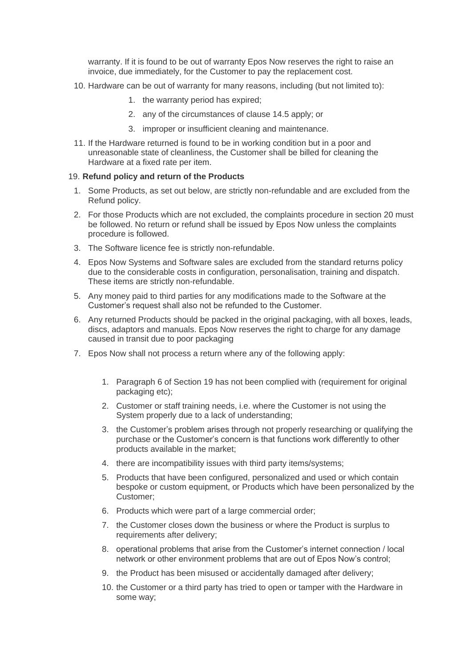warranty. If it is found to be out of warranty Epos Now reserves the right to raise an invoice, due immediately, for the Customer to pay the replacement cost.

- 10. Hardware can be out of warranty for many reasons, including (but not limited to):
	- 1. the warranty period has expired;
	- 2. any of the circumstances of clause 14.5 apply; or
	- 3. improper or insufficient cleaning and maintenance.
- 11. If the Hardware returned is found to be in working condition but in a poor and unreasonable state of cleanliness, the Customer shall be billed for cleaning the Hardware at a fixed rate per item.

#### 19. **Refund policy and return of the Products**

- 1. Some Products, as set out below, are strictly non-refundable and are excluded from the Refund policy.
- 2. For those Products which are not excluded, the complaints procedure in section 20 must be followed. No return or refund shall be issued by Epos Now unless the complaints procedure is followed.
- 3. The Software licence fee is strictly non-refundable.
- 4. Epos Now Systems and Software sales are excluded from the standard returns policy due to the considerable costs in configuration, personalisation, training and dispatch. These items are strictly non-refundable.
- 5. Any money paid to third parties for any modifications made to the Software at the Customer's request shall also not be refunded to the Customer.
- 6. Any returned Products should be packed in the original packaging, with all boxes, leads, discs, adaptors and manuals. Epos Now reserves the right to charge for any damage caused in transit due to poor packaging
- 7. Epos Now shall not process a return where any of the following apply:
	- 1. Paragraph 6 of Section 19 has not been complied with (requirement for original packaging etc);
	- 2. Customer or staff training needs, i.e. where the Customer is not using the System properly due to a lack of understanding;
	- 3. the Customer's problem arises through not properly researching or qualifying the purchase or the Customer's concern is that functions work differently to other products available in the market;
	- 4. there are incompatibility issues with third party items/systems;
	- 5. Products that have been configured, personalized and used or which contain bespoke or custom equipment, or Products which have been personalized by the Customer;
	- 6. Products which were part of a large commercial order;
	- 7. the Customer closes down the business or where the Product is surplus to requirements after delivery;
	- 8. operational problems that arise from the Customer's internet connection / local network or other environment problems that are out of Epos Now's control;
	- 9. the Product has been misused or accidentally damaged after delivery;
	- 10. the Customer or a third party has tried to open or tamper with the Hardware in some way;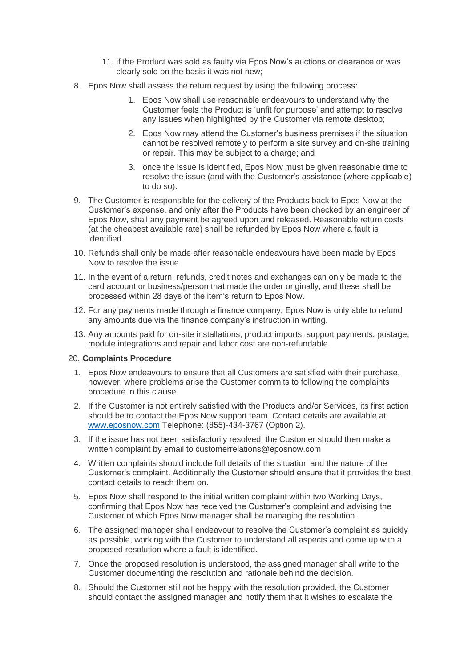- 11. if the Product was sold as faulty via Epos Now's auctions or clearance or was clearly sold on the basis it was not new;
- 8. Epos Now shall assess the return request by using the following process:
	- 1. Epos Now shall use reasonable endeavours to understand why the Customer feels the Product is 'unfit for purpose' and attempt to resolve any issues when highlighted by the Customer via remote desktop;
	- 2. Epos Now may attend the Customer's business premises if the situation cannot be resolved remotely to perform a site survey and on-site training or repair. This may be subject to a charge; and
	- 3. once the issue is identified, Epos Now must be given reasonable time to resolve the issue (and with the Customer's assistance (where applicable) to do so).
- 9. The Customer is responsible for the delivery of the Products back to Epos Now at the Customer's expense, and only after the Products have been checked by an engineer of Epos Now, shall any payment be agreed upon and released. Reasonable return costs (at the cheapest available rate) shall be refunded by Epos Now where a fault is identified.
- 10. Refunds shall only be made after reasonable endeavours have been made by Epos Now to resolve the issue.
- 11. In the event of a return, refunds, credit notes and exchanges can only be made to the card account or business/person that made the order originally, and these shall be processed within 28 days of the item's return to Epos Now.
- 12. For any payments made through a finance company, Epos Now is only able to refund any amounts due via the finance company's instruction in writing.
- 13. Any amounts paid for on-site installations, product imports, support payments, postage, module integrations and repair and labor cost are non-refundable.

# 20. **Complaints Procedure**

- 1. Epos Now endeavours to ensure that all Customers are satisfied with their purchase, however, where problems arise the Customer commits to following the complaints procedure in this clause.
- 2. If the Customer is not entirely satisfied with the Products and/or Services, its first action should be to contact the Epos Now support team. Contact details are available at [www.eposnow.com](http://www.eposnow.com/) Telephone: (855)-434-3767 (Option 2).
- 3. If the issue has not been satisfactorily resolved, the Customer should then make a written complaint by email to customerrelations@eposnow.com
- 4. Written complaints should include full details of the situation and the nature of the Customer's complaint. Additionally the Customer should ensure that it provides the best contact details to reach them on.
- 5. Epos Now shall respond to the initial written complaint within two Working Days, confirming that Epos Now has received the Customer's complaint and advising the Customer of which Epos Now manager shall be managing the resolution.
- 6. The assigned manager shall endeavour to resolve the Customer's complaint as quickly as possible, working with the Customer to understand all aspects and come up with a proposed resolution where a fault is identified.
- 7. Once the proposed resolution is understood, the assigned manager shall write to the Customer documenting the resolution and rationale behind the decision.
- 8. Should the Customer still not be happy with the resolution provided, the Customer should contact the assigned manager and notify them that it wishes to escalate the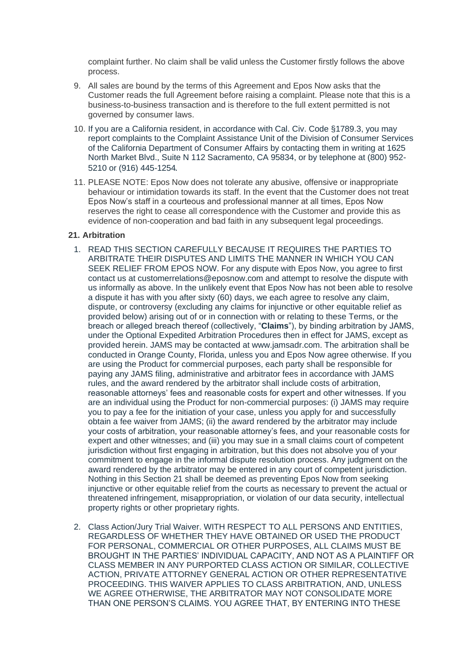complaint further. No claim shall be valid unless the Customer firstly follows the above process.

- 9. All sales are bound by the terms of this Agreement and Epos Now asks that the Customer reads the full Agreement before raising a complaint. Please note that this is a business-to-business transaction and is therefore to the full extent permitted is not governed by consumer laws.
- 10. If you are a California resident, in accordance with Cal. Civ. Code §1789.3, you may report complaints to the Complaint Assistance Unit of the Division of Consumer Services of the California Department of Consumer Affairs by contacting them in writing at 1625 North Market Blvd., Suite N 112 Sacramento, CA 95834, or by telephone at (800) 952- 5210 or (916) 445-1254.
- 11. PLEASE NOTE: Epos Now does not tolerate any abusive, offensive or inappropriate behaviour or intimidation towards its staff. In the event that the Customer does not treat Epos Now's staff in a courteous and professional manner at all times, Epos Now reserves the right to cease all correspondence with the Customer and provide this as evidence of non-cooperation and bad faith in any subsequent legal proceedings.

#### **21. Arbitration**

- 1. READ THIS SECTION CAREFULLY BECAUSE IT REQUIRES THE PARTIES TO ARBITRATE THEIR DISPUTES AND LIMITS THE MANNER IN WHICH YOU CAN SEEK RELIEF FROM EPOS NOW. For any dispute with Epos Now, you agree to first contact us at customerrelations@eposnow.com and attempt to resolve the dispute with us informally as above. In the unlikely event that Epos Now has not been able to resolve a dispute it has with you after sixty (60) days, we each agree to resolve any claim, dispute, or controversy (excluding any claims for injunctive or other equitable relief as provided below) arising out of or in connection with or relating to these Terms, or the breach or alleged breach thereof (collectively, "**Claims**"), by binding arbitration by JAMS, under the Optional Expedited Arbitration Procedures then in effect for JAMS, except as provided herein. JAMS may be contacted at www.jamsadr.com. The arbitration shall be conducted in Orange County, Florida, unless you and Epos Now agree otherwise. If you are using the Product for commercial purposes, each party shall be responsible for paying any JAMS filing, administrative and arbitrator fees in accordance with JAMS rules, and the award rendered by the arbitrator shall include costs of arbitration, reasonable attorneys' fees and reasonable costs for expert and other witnesses. If you are an individual using the Product for non-commercial purposes: (i) JAMS may require you to pay a fee for the initiation of your case, unless you apply for and successfully obtain a fee waiver from JAMS; (ii) the award rendered by the arbitrator may include your costs of arbitration, your reasonable attorney's fees, and your reasonable costs for expert and other witnesses; and (iii) you may sue in a small claims court of competent jurisdiction without first engaging in arbitration, but this does not absolve you of your commitment to engage in the informal dispute resolution process. Any judgment on the award rendered by the arbitrator may be entered in any court of competent jurisdiction. Nothing in this Section 21 shall be deemed as preventing Epos Now from seeking injunctive or other equitable relief from the courts as necessary to prevent the actual or threatened infringement, misappropriation, or violation of our data security, intellectual property rights or other proprietary rights.
- 2. Class Action/Jury Trial Waiver. WITH RESPECT TO ALL PERSONS AND ENTITIES, REGARDLESS OF WHETHER THEY HAVE OBTAINED OR USED THE PRODUCT FOR PERSONAL, COMMERCIAL OR OTHER PURPOSES, ALL CLAIMS MUST BE BROUGHT IN THE PARTIES' INDIVIDUAL CAPACITY, AND NOT AS A PLAINTIFF OR CLASS MEMBER IN ANY PURPORTED CLASS ACTION OR SIMILAR, COLLECTIVE ACTION, PRIVATE ATTORNEY GENERAL ACTION OR OTHER REPRESENTATIVE PROCEEDING. THIS WAIVER APPLIES TO CLASS ARBITRATION, AND, UNLESS WE AGREE OTHERWISE, THE ARBITRATOR MAY NOT CONSOLIDATE MORE THAN ONE PERSON'S CLAIMS. YOU AGREE THAT, BY ENTERING INTO THESE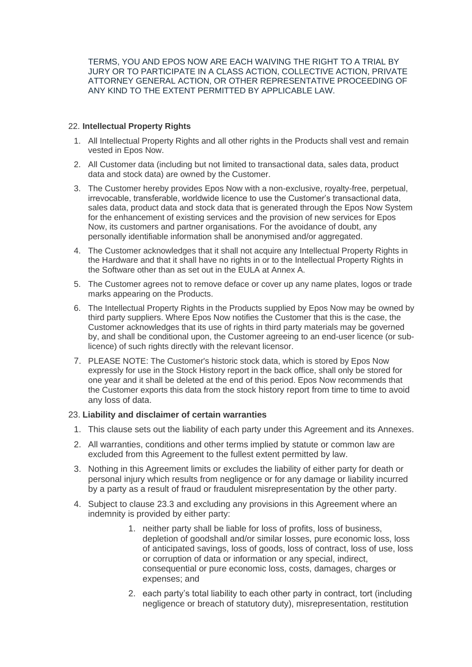TERMS, YOU AND EPOS NOW ARE EACH WAIVING THE RIGHT TO A TRIAL BY JURY OR TO PARTICIPATE IN A CLASS ACTION, COLLECTIVE ACTION, PRIVATE ATTORNEY GENERAL ACTION, OR OTHER REPRESENTATIVE PROCEEDING OF ANY KIND TO THE EXTENT PERMITTED BY APPLICABLE LAW.

# 22. **Intellectual Property Rights**

- 1. All Intellectual Property Rights and all other rights in the Products shall vest and remain vested in Epos Now.
- 2. All Customer data (including but not limited to transactional data, sales data, product data and stock data) are owned by the Customer.
- 3. The Customer hereby provides Epos Now with a non-exclusive, royalty-free, perpetual, irrevocable, transferable, worldwide licence to use the Customer's transactional data, sales data, product data and stock data that is generated through the Epos Now System for the enhancement of existing services and the provision of new services for Epos Now, its customers and partner organisations. For the avoidance of doubt, any personally identifiable information shall be anonymised and/or aggregated.
- 4. The Customer acknowledges that it shall not acquire any Intellectual Property Rights in the Hardware and that it shall have no rights in or to the Intellectual Property Rights in the Software other than as set out in the FULA at Annex A
- 5. The Customer agrees not to remove deface or cover up any name plates, logos or trade marks appearing on the Products.
- 6. The Intellectual Property Rights in the Products supplied by Epos Now may be owned by third party suppliers. Where Epos Now notifies the Customer that this is the case, the Customer acknowledges that its use of rights in third party materials may be governed by, and shall be conditional upon, the Customer agreeing to an end-user licence (or sublicence) of such rights directly with the relevant licensor.
- 7. PLEASE NOTE: The Customer's historic stock data, which is stored by Epos Now expressly for use in the Stock History report in the back office, shall only be stored for one year and it shall be deleted at the end of this period. Epos Now recommends that the Customer exports this data from the stock history report from time to time to avoid any loss of data.

# 23. **Liability and disclaimer of certain warranties**

- 1. This clause sets out the liability of each party under this Agreement and its Annexes.
- 2. All warranties, conditions and other terms implied by statute or common law are excluded from this Agreement to the fullest extent permitted by law.
- 3. Nothing in this Agreement limits or excludes the liability of either party for death or personal injury which results from negligence or for any damage or liability incurred by a party as a result of fraud or fraudulent misrepresentation by the other party.
- 4. Subject to clause 23.3 and excluding any provisions in this Agreement where an indemnity is provided by either party:
	- 1. neither party shall be liable for loss of profits, loss of business, depletion of goodshall and/or similar losses, pure economic loss, loss of anticipated savings, loss of goods, loss of contract, loss of use, loss or corruption of data or information or any special, indirect, consequential or pure economic loss, costs, damages, charges or expenses; and
	- 2. each party's total liability to each other party in contract, tort (including negligence or breach of statutory duty), misrepresentation, restitution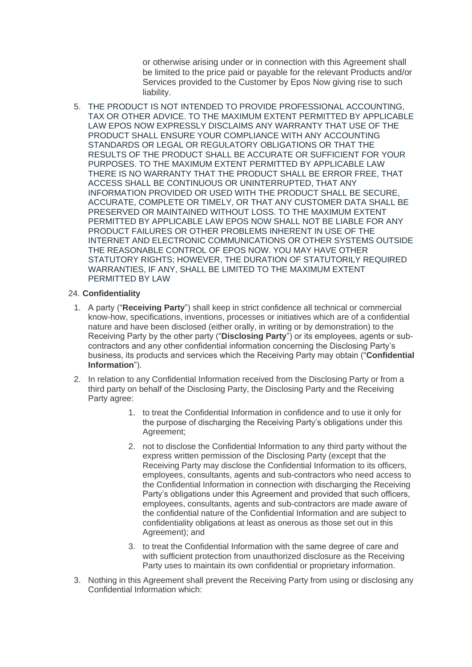or otherwise arising under or in connection with this Agreement shall be limited to the price paid or payable for the relevant Products and/or Services provided to the Customer by Epos Now giving rise to such liability.

5. THE PRODUCT IS NOT INTENDED TO PROVIDE PROFESSIONAL ACCOUNTING, TAX OR OTHER ADVICE. TO THE MAXIMUM EXTENT PERMITTED BY APPLICABLE LAW EPOS NOW EXPRESSLY DISCLAIMS ANY WARRANTY THAT USE OF THE PRODUCT SHALL ENSURE YOUR COMPLIANCE WITH ANY ACCOUNTING STANDARDS OR LEGAL OR REGULATORY OBLIGATIONS OR THAT THE RESULTS OF THE PRODUCT SHALL BE ACCURATE OR SUFFICIENT FOR YOUR PURPOSES. TO THE MAXIMUM EXTENT PERMITTED BY APPLICABLE LAW THERE IS NO WARRANTY THAT THE PRODUCT SHALL BE ERROR FREE, THAT ACCESS SHALL BE CONTINUOUS OR UNINTERRUPTED, THAT ANY INFORMATION PROVIDED OR USED WITH THE PRODUCT SHALL BE SECURE, ACCURATE, COMPLETE OR TIMELY, OR THAT ANY CUSTOMER DATA SHALL BE PRESERVED OR MAINTAINED WITHOUT LOSS. TO THE MAXIMUM EXTENT PERMITTED BY APPLICABLE LAW EPOS NOW SHALL NOT BE LIABLE FOR ANY PRODUCT FAILURES OR OTHER PROBLEMS INHERENT IN USE OF THE INTERNET AND ELECTRONIC COMMUNICATIONS OR OTHER SYSTEMS OUTSIDE THE REASONABLE CONTROL OF EPOS NOW. YOU MAY HAVE OTHER STATUTORY RIGHTS; HOWEVER, THE DURATION OF STATUTORILY REQUIRED WARRANTIES, IF ANY, SHALL BE LIMITED TO THE MAXIMUM EXTENT PERMITTED BY LAW

# 24. **Confidentiality**

- 1. A party ("**Receiving Party**") shall keep in strict confidence all technical or commercial know-how, specifications, inventions, processes or initiatives which are of a confidential nature and have been disclosed (either orally, in writing or by demonstration) to the Receiving Party by the other party ("**Disclosing Party**") or its employees, agents or subcontractors and any other confidential information concerning the Disclosing Party's business, its products and services which the Receiving Party may obtain ("**Confidential Information**").
- 2. In relation to any Confidential Information received from the Disclosing Party or from a third party on behalf of the Disclosing Party, the Disclosing Party and the Receiving Party agree:
	- 1. to treat the Confidential Information in confidence and to use it only for the purpose of discharging the Receiving Party's obligations under this Agreement;
	- 2. not to disclose the Confidential Information to any third party without the express written permission of the Disclosing Party (except that the Receiving Party may disclose the Confidential Information to its officers, employees, consultants, agents and sub-contractors who need access to the Confidential Information in connection with discharging the Receiving Party's obligations under this Agreement and provided that such officers, employees, consultants, agents and sub-contractors are made aware of the confidential nature of the Confidential Information and are subject to confidentiality obligations at least as onerous as those set out in this Agreement); and
	- 3. to treat the Confidential Information with the same degree of care and with sufficient protection from unauthorized disclosure as the Receiving Party uses to maintain its own confidential or proprietary information.
- 3. Nothing in this Agreement shall prevent the Receiving Party from using or disclosing any Confidential Information which: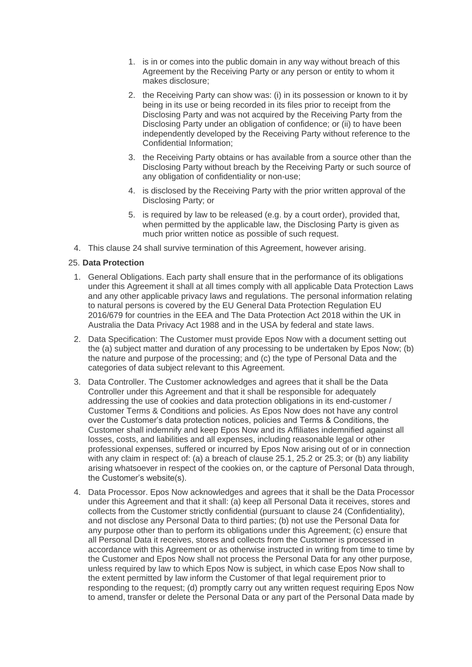- 1. is in or comes into the public domain in any way without breach of this Agreement by the Receiving Party or any person or entity to whom it makes disclosure;
- 2. the Receiving Party can show was: (i) in its possession or known to it by being in its use or being recorded in its files prior to receipt from the Disclosing Party and was not acquired by the Receiving Party from the Disclosing Party under an obligation of confidence; or (ii) to have been independently developed by the Receiving Party without reference to the Confidential Information;
- 3. the Receiving Party obtains or has available from a source other than the Disclosing Party without breach by the Receiving Party or such source of any obligation of confidentiality or non-use;
- 4. is disclosed by the Receiving Party with the prior written approval of the Disclosing Party; or
- 5. is required by law to be released (e.g. by a court order), provided that, when permitted by the applicable law, the Disclosing Party is given as much prior written notice as possible of such request.
- 4. This clause 24 shall survive termination of this Agreement, however arising.

#### 25. **Data Protection**

- 1. General Obligations. Each party shall ensure that in the performance of its obligations under this Agreement it shall at all times comply with all applicable Data Protection Laws and any other applicable privacy laws and regulations. The personal information relating to natural persons is covered by the EU General Data Protection Regulation EU 2016/679 for countries in the EEA and The Data Protection Act 2018 within the UK in Australia the Data Privacy Act 1988 and in the USA by federal and state laws.
- 2. Data Specification: The Customer must provide Epos Now with a document setting out the (a) subject matter and duration of any processing to be undertaken by Epos Now; (b) the nature and purpose of the processing; and (c) the type of Personal Data and the categories of data subject relevant to this Agreement.
- 3. Data Controller. The Customer acknowledges and agrees that it shall be the Data Controller under this Agreement and that it shall be responsible for adequately addressing the use of cookies and data protection obligations in its end-customer / Customer Terms & Conditions and policies. As Epos Now does not have any control over the Customer's data protection notices, policies and Terms & Conditions, the Customer shall indemnify and keep Epos Now and its Affiliates indemnified against all losses, costs, and liabilities and all expenses, including reasonable legal or other professional expenses, suffered or incurred by Epos Now arising out of or in connection with any claim in respect of: (a) a breach of clause 25.1, 25.2 or 25.3; or (b) any liability arising whatsoever in respect of the cookies on, or the capture of Personal Data through, the Customer's website(s).
- 4. Data Processor. Epos Now acknowledges and agrees that it shall be the Data Processor under this Agreement and that it shall: (a) keep all Personal Data it receives, stores and collects from the Customer strictly confidential (pursuant to clause 24 (Confidentiality), and not disclose any Personal Data to third parties; (b) not use the Personal Data for any purpose other than to perform its obligations under this Agreement; (c) ensure that all Personal Data it receives, stores and collects from the Customer is processed in accordance with this Agreement or as otherwise instructed in writing from time to time by the Customer and Epos Now shall not process the Personal Data for any other purpose, unless required by law to which Epos Now is subject, in which case Epos Now shall to the extent permitted by law inform the Customer of that legal requirement prior to responding to the request; (d) promptly carry out any written request requiring Epos Now to amend, transfer or delete the Personal Data or any part of the Personal Data made by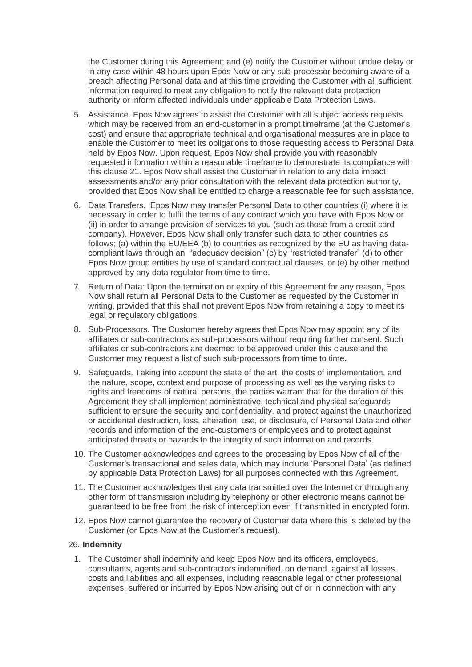the Customer during this Agreement; and (e) notify the Customer without undue delay or in any case within 48 hours upon Epos Now or any sub-processor becoming aware of a breach affecting Personal data and at this time providing the Customer with all sufficient information required to meet any obligation to notify the relevant data protection authority or inform affected individuals under applicable Data Protection Laws.

- 5. Assistance. Epos Now agrees to assist the Customer with all subject access requests which may be received from an end-customer in a prompt timeframe (at the Customer's cost) and ensure that appropriate technical and organisational measures are in place to enable the Customer to meet its obligations to those requesting access to Personal Data held by Epos Now. Upon request, Epos Now shall provide you with reasonably requested information within a reasonable timeframe to demonstrate its compliance with this clause 21. Epos Now shall assist the Customer in relation to any data impact assessments and/or any prior consultation with the relevant data protection authority, provided that Epos Now shall be entitled to charge a reasonable fee for such assistance.
- 6. Data Transfers. Epos Now may transfer Personal Data to other countries (i) where it is necessary in order to fulfil the terms of any contract which you have with Epos Now or (ii) in order to arrange provision of services to you (such as those from a credit card company). However, Epos Now shall only transfer such data to other countries as follows; (a) within the EU/EEA (b) to countries as recognized by the EU as having datacompliant laws through an "adequacy decision" (c) by "restricted transfer" (d) to other Epos Now group entities by use of standard contractual clauses, or (e) by other method approved by any data regulator from time to time.
- 7. Return of Data: Upon the termination or expiry of this Agreement for any reason, Epos Now shall return all Personal Data to the Customer as requested by the Customer in writing, provided that this shall not prevent Epos Now from retaining a copy to meet its legal or regulatory obligations.
- 8. Sub-Processors. The Customer hereby agrees that Epos Now may appoint any of its affiliates or sub-contractors as sub-processors without requiring further consent. Such affiliates or sub-contractors are deemed to be approved under this clause and the Customer may request a list of such sub-processors from time to time.
- 9. Safeguards. Taking into account the state of the art, the costs of implementation, and the nature, scope, context and purpose of processing as well as the varying risks to rights and freedoms of natural persons, the parties warrant that for the duration of this Agreement they shall implement administrative, technical and physical safeguards sufficient to ensure the security and confidentiality, and protect against the unauthorized or accidental destruction, loss, alteration, use, or disclosure, of Personal Data and other records and information of the end-customers or employees and to protect against anticipated threats or hazards to the integrity of such information and records.
- 10. The Customer acknowledges and agrees to the processing by Epos Now of all of the Customer's transactional and sales data, which may include 'Personal Data' (as defined by applicable Data Protection Laws) for all purposes connected with this Agreement.
- 11. The Customer acknowledges that any data transmitted over the Internet or through any other form of transmission including by telephony or other electronic means cannot be guaranteed to be free from the risk of interception even if transmitted in encrypted form.
- 12. Epos Now cannot guarantee the recovery of Customer data where this is deleted by the Customer (or Epos Now at the Customer's request).

# 26. **Indemnity**

1. The Customer shall indemnify and keep Epos Now and its officers, employees, consultants, agents and sub-contractors indemnified, on demand, against all losses, costs and liabilities and all expenses, including reasonable legal or other professional expenses, suffered or incurred by Epos Now arising out of or in connection with any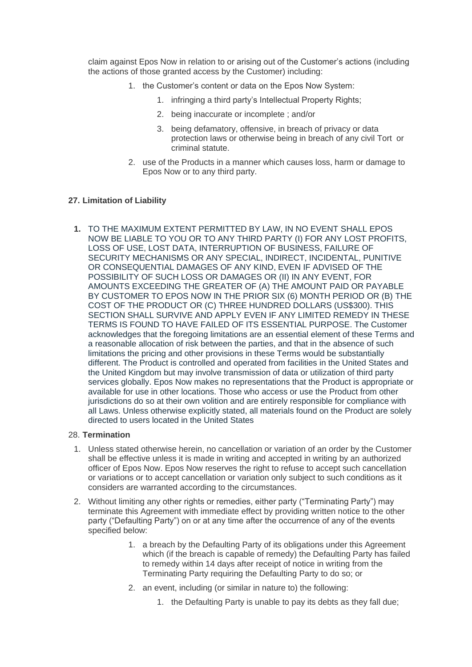claim against Epos Now in relation to or arising out of the Customer's actions (including the actions of those granted access by the Customer) including:

- 1. the Customer's content or data on the Epos Now System:
	- 1. infringing a third party's Intellectual Property Rights;
	- 2. being inaccurate or incomplete ; and/or
	- 3. being defamatory, offensive, in breach of privacy or data protection laws or otherwise being in breach of any civil Tort or criminal statute.
- 2. use of the Products in a manner which causes loss, harm or damage to Epos Now or to any third party.

# **27. Limitation of Liability**

**1.** TO THE MAXIMUM EXTENT PERMITTED BY LAW, IN NO EVENT SHALL EPOS NOW BE LIABLE TO YOU OR TO ANY THIRD PARTY (I) FOR ANY LOST PROFITS, LOSS OF USE, LOST DATA, INTERRUPTION OF BUSINESS, FAILURE OF SECURITY MECHANISMS OR ANY SPECIAL, INDIRECT, INCIDENTAL, PUNITIVE OR CONSEQUENTIAL DAMAGES OF ANY KIND, EVEN IF ADVISED OF THE POSSIBILITY OF SUCH LOSS OR DAMAGES OR (II) IN ANY EVENT, FOR AMOUNTS EXCEEDING THE GREATER OF (A) THE AMOUNT PAID OR PAYABLE BY CUSTOMER TO EPOS NOW IN THE PRIOR SIX (6) MONTH PERIOD OR (B) THE COST OF THE PRODUCT OR (C) THREE HUNDRED DOLLARS (US\$300). THIS SECTION SHALL SURVIVE AND APPLY EVEN IF ANY LIMITED REMEDY IN THESE TERMS IS FOUND TO HAVE FAILED OF ITS ESSENTIAL PURPOSE. The Customer acknowledges that the foregoing limitations are an essential element of these Terms and a reasonable allocation of risk between the parties, and that in the absence of such limitations the pricing and other provisions in these Terms would be substantially different. The Product is controlled and operated from facilities in the United States and the United Kingdom but may involve transmission of data or utilization of third party services globally. Epos Now makes no representations that the Product is appropriate or available for use in other locations. Those who access or use the Product from other jurisdictions do so at their own volition and are entirely responsible for compliance with all Laws. Unless otherwise explicitly stated, all materials found on the Product are solely directed to users located in the United States

# 28. **Termination**

- 1. Unless stated otherwise herein, no cancellation or variation of an order by the Customer shall be effective unless it is made in writing and accepted in writing by an authorized officer of Epos Now. Epos Now reserves the right to refuse to accept such cancellation or variations or to accept cancellation or variation only subject to such conditions as it considers are warranted according to the circumstances.
- 2. Without limiting any other rights or remedies, either party ("Terminating Party") may terminate this Agreement with immediate effect by providing written notice to the other party ("Defaulting Party") on or at any time after the occurrence of any of the events specified below:
	- 1. a breach by the Defaulting Party of its obligations under this Agreement which (if the breach is capable of remedy) the Defaulting Party has failed to remedy within 14 days after receipt of notice in writing from the Terminating Party requiring the Defaulting Party to do so; or
	- 2. an event, including (or similar in nature to) the following:
		- 1. the Defaulting Party is unable to pay its debts as they fall due;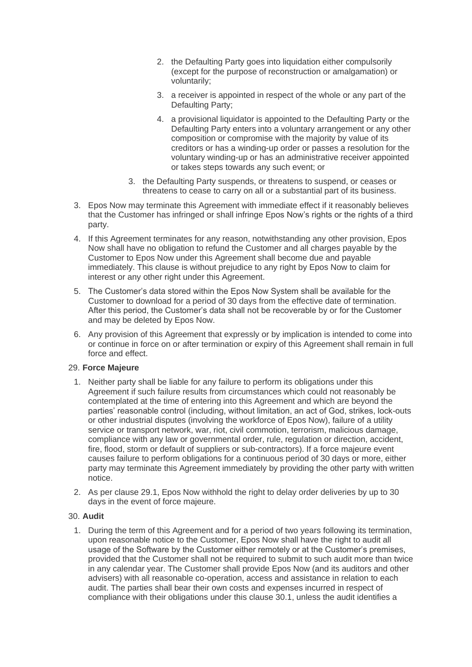- 2. the Defaulting Party goes into liquidation either compulsorily (except for the purpose of reconstruction or amalgamation) or voluntarily;
- 3. a receiver is appointed in respect of the whole or any part of the Defaulting Party;
- 4. a provisional liquidator is appointed to the Defaulting Party or the Defaulting Party enters into a voluntary arrangement or any other composition or compromise with the majority by value of its creditors or has a winding-up order or passes a resolution for the voluntary winding-up or has an administrative receiver appointed or takes steps towards any such event; or
- 3. the Defaulting Party suspends, or threatens to suspend, or ceases or threatens to cease to carry on all or a substantial part of its business.
- 3. Epos Now may terminate this Agreement with immediate effect if it reasonably believes that the Customer has infringed or shall infringe Epos Now's rights or the rights of a third party.
- 4. If this Agreement terminates for any reason, notwithstanding any other provision, Epos Now shall have no obligation to refund the Customer and all charges payable by the Customer to Epos Now under this Agreement shall become due and payable immediately. This clause is without prejudice to any right by Epos Now to claim for interest or any other right under this Agreement.
- 5. The Customer's data stored within the Epos Now System shall be available for the Customer to download for a period of 30 days from the effective date of termination. After this period, the Customer's data shall not be recoverable by or for the Customer and may be deleted by Epos Now.
- 6. Any provision of this Agreement that expressly or by implication is intended to come into or continue in force on or after termination or expiry of this Agreement shall remain in full force and effect.

# 29. **Force Majeure**

- 1. Neither party shall be liable for any failure to perform its obligations under this Agreement if such failure results from circumstances which could not reasonably be contemplated at the time of entering into this Agreement and which are beyond the parties' reasonable control (including, without limitation, an act of God, strikes, lock-outs or other industrial disputes (involving the workforce of Epos Now), failure of a utility service or transport network, war, riot, civil commotion, terrorism, malicious damage, compliance with any law or governmental order, rule, regulation or direction, accident, fire, flood, storm or default of suppliers or sub-contractors). If a force majeure event causes failure to perform obligations for a continuous period of 30 days or more, either party may terminate this Agreement immediately by providing the other party with written notice.
- 2. As per clause 29.1, Epos Now withhold the right to delay order deliveries by up to 30 days in the event of force majeure.

# 30. **Audit**

1. During the term of this Agreement and for a period of two years following its termination, upon reasonable notice to the Customer, Epos Now shall have the right to audit all usage of the Software by the Customer either remotely or at the Customer's premises, provided that the Customer shall not be required to submit to such audit more than twice in any calendar year. The Customer shall provide Epos Now (and its auditors and other advisers) with all reasonable co-operation, access and assistance in relation to each audit. The parties shall bear their own costs and expenses incurred in respect of compliance with their obligations under this clause 30.1, unless the audit identifies a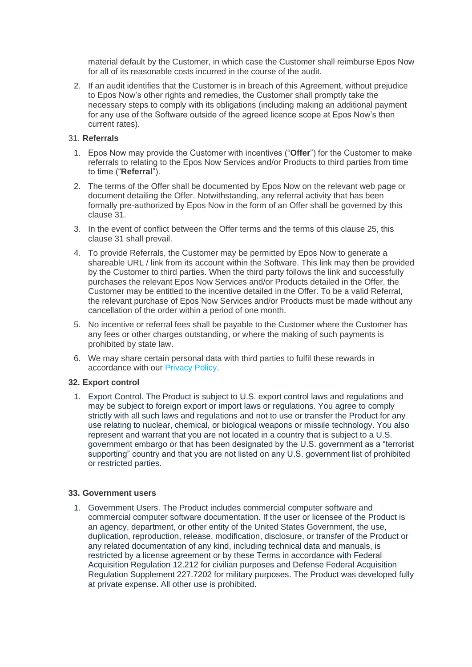material default by the Customer, in which case the Customer shall reimburse Epos Now for all of its reasonable costs incurred in the course of the audit.

2. If an audit identifies that the Customer is in breach of this Agreement, without prejudice to Epos Now's other rights and remedies, the Customer shall promptly take the necessary steps to comply with its obligations (including making an additional payment for any use of the Software outside of the agreed licence scope at Epos Now's then current rates).

# 31. **Referrals**

- 1. Epos Now may provide the Customer with incentives ("**Offer**") for the Customer to make referrals to relating to the Epos Now Services and/or Products to third parties from time to time ("**Referral**").
- 2. The terms of the Offer shall be documented by Epos Now on the relevant web page or document detailing the Offer. Notwithstanding, any referral activity that has been formally pre-authorized by Epos Now in the form of an Offer shall be governed by this clause 31.
- 3. In the event of conflict between the Offer terms and the terms of this clause 25, this clause 31 shall prevail.
- 4. To provide Referrals, the Customer may be permitted by Epos Now to generate a shareable URL / link from its account within the Software. This link may then be provided by the Customer to third parties. When the third party follows the link and successfully purchases the relevant Epos Now Services and/or Products detailed in the Offer, the Customer may be entitled to the incentive detailed in the Offer. To be a valid Referral, the relevant purchase of Epos Now Services and/or Products must be made without any cancellation of the order within a period of one month.
- 5. No incentive or referral fees shall be payable to the Customer where the Customer has any fees or other charges outstanding, or where the making of such payments is prohibited by state law.
- 6. We may share certain personal data with third parties to fulfil these rewards in accordance with our [Privacy Policy.](https://www.eposnow.com/uk/privacy-policy)

# **32. Export control**

1. Export Control. The Product is subject to U.S. export control laws and regulations and may be subject to foreign export or import laws or regulations. You agree to comply strictly with all such laws and regulations and not to use or transfer the Product for any use relating to nuclear, chemical, or biological weapons or missile technology. You also represent and warrant that you are not located in a country that is subject to a U.S. government embargo or that has been designated by the U.S. government as a "terrorist supporting" country and that you are not listed on any U.S. government list of prohibited or restricted parties.

# **33. Government users**

1. Government Users. The Product includes commercial computer software and commercial computer software documentation. If the user or licensee of the Product is an agency, department, or other entity of the United States Government, the use, duplication, reproduction, release, modification, disclosure, or transfer of the Product or any related documentation of any kind, including technical data and manuals, is restricted by a license agreement or by these Terms in accordance with Federal Acquisition Regulation 12.212 for civilian purposes and Defense Federal Acquisition Regulation Supplement 227.7202 for military purposes. The Product was developed fully at private expense. All other use is prohibited.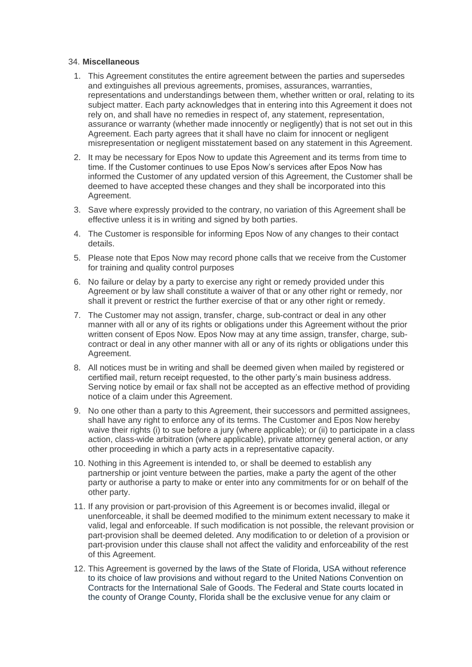#### 34. **Miscellaneous**

- 1. This Agreement constitutes the entire agreement between the parties and supersedes and extinguishes all previous agreements, promises, assurances, warranties, representations and understandings between them, whether written or oral, relating to its subject matter. Each party acknowledges that in entering into this Agreement it does not rely on, and shall have no remedies in respect of, any statement, representation, assurance or warranty (whether made innocently or negligently) that is not set out in this Agreement. Each party agrees that it shall have no claim for innocent or negligent misrepresentation or negligent misstatement based on any statement in this Agreement.
- 2. It may be necessary for Epos Now to update this Agreement and its terms from time to time. If the Customer continues to use Epos Now's services after Epos Now has informed the Customer of any updated version of this Agreement, the Customer shall be deemed to have accepted these changes and they shall be incorporated into this Agreement.
- 3. Save where expressly provided to the contrary, no variation of this Agreement shall be effective unless it is in writing and signed by both parties.
- 4. The Customer is responsible for informing Epos Now of any changes to their contact details.
- 5. Please note that Epos Now may record phone calls that we receive from the Customer for training and quality control purposes
- 6. No failure or delay by a party to exercise any right or remedy provided under this Agreement or by law shall constitute a waiver of that or any other right or remedy, nor shall it prevent or restrict the further exercise of that or any other right or remedy.
- 7. The Customer may not assign, transfer, charge, sub-contract or deal in any other manner with all or any of its rights or obligations under this Agreement without the prior written consent of Epos Now. Epos Now may at any time assign, transfer, charge, subcontract or deal in any other manner with all or any of its rights or obligations under this Agreement.
- 8. All notices must be in writing and shall be deemed given when mailed by registered or certified mail, return receipt requested, to the other party's main business address. Serving notice by email or fax shall not be accepted as an effective method of providing notice of a claim under this Agreement.
- 9. No one other than a party to this Agreement, their successors and permitted assignees, shall have any right to enforce any of its terms. The Customer and Epos Now hereby waive their rights (i) to sue before a jury (where applicable); or (ii) to participate in a class action, class-wide arbitration (where applicable), private attorney general action, or any other proceeding in which a party acts in a representative capacity.
- 10. Nothing in this Agreement is intended to, or shall be deemed to establish any partnership or joint venture between the parties, make a party the agent of the other party or authorise a party to make or enter into any commitments for or on behalf of the other party.
- 11. If any provision or part-provision of this Agreement is or becomes invalid, illegal or unenforceable, it shall be deemed modified to the minimum extent necessary to make it valid, legal and enforceable. If such modification is not possible, the relevant provision or part-provision shall be deemed deleted. Any modification to or deletion of a provision or part-provision under this clause shall not affect the validity and enforceability of the rest of this Agreement.
- 12. This Agreement is governed by the laws of the State of Florida, USA without reference to its choice of law provisions and without regard to the United Nations Convention on Contracts for the International Sale of Goods. The Federal and State courts located in the county of Orange County, Florida shall be the exclusive venue for any claim or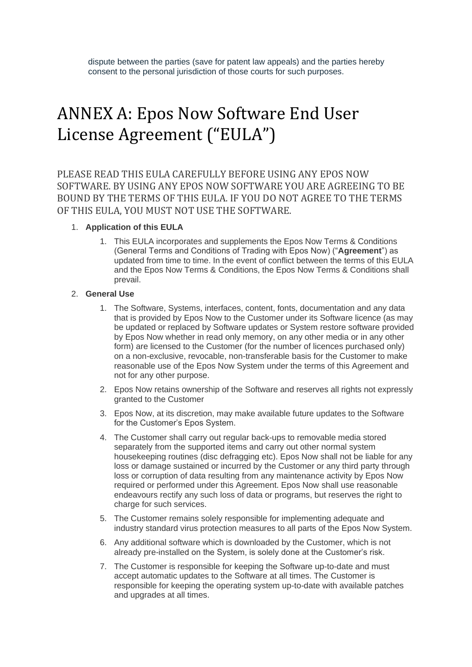# ANNEX A: Epos Now Software End User License Agreement ("EULA")

PLEASE READ THIS EULA CAREFULLY BEFORE USING ANY EPOS NOW SOFTWARE. BY USING ANY EPOS NOW SOFTWARE YOU ARE AGREEING TO BE BOUND BY THE TERMS OF THIS EULA. IF YOU DO NOT AGREE TO THE TERMS OF THIS EULA, YOU MUST NOT USE THE SOFTWARE.

# 1. **Application of this EULA**

1. This EULA incorporates and supplements the Epos Now Terms & Conditions (General Terms and Conditions of Trading with Epos Now) ("**Agreement**") as updated from time to time. In the event of conflict between the terms of this EULA and the Epos Now Terms & Conditions, the Epos Now Terms & Conditions shall prevail.

# 2. **General Use**

- 1. The Software, Systems, interfaces, content, fonts, documentation and any data that is provided by Epos Now to the Customer under its Software licence (as may be updated or replaced by Software updates or System restore software provided by Epos Now whether in read only memory, on any other media or in any other form) are licensed to the Customer (for the number of licences purchased only) on a non-exclusive, revocable, non-transferable basis for the Customer to make reasonable use of the Epos Now System under the terms of this Agreement and not for any other purpose.
- 2. Epos Now retains ownership of the Software and reserves all rights not expressly granted to the Customer
- 3. Epos Now, at its discretion, may make available future updates to the Software for the Customer's Epos System.
- 4. The Customer shall carry out regular back-ups to removable media stored separately from the supported items and carry out other normal system housekeeping routines (disc defragging etc). Epos Now shall not be liable for any loss or damage sustained or incurred by the Customer or any third party through loss or corruption of data resulting from any maintenance activity by Epos Now required or performed under this Agreement. Epos Now shall use reasonable endeavours rectify any such loss of data or programs, but reserves the right to charge for such services.
- 5. The Customer remains solely responsible for implementing adequate and industry standard virus protection measures to all parts of the Epos Now System.
- 6. Any additional software which is downloaded by the Customer, which is not already pre-installed on the System, is solely done at the Customer's risk.
- 7. The Customer is responsible for keeping the Software up-to-date and must accept automatic updates to the Software at all times. The Customer is responsible for keeping the operating system up-to-date with available patches and upgrades at all times.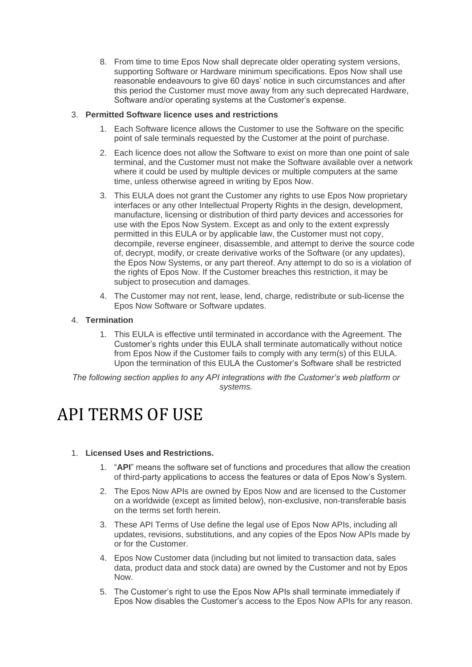8. From time to time Epos Now shall deprecate older operating system versions, supporting Software or Hardware minimum specifications. Epos Now shall use reasonable endeavours to give 60 days' notice in such circumstances and after this period the Customer must move away from any such deprecated Hardware, Software and/or operating systems at the Customer's expense.

# 3. **Permitted Software licence uses and restrictions**

- 1. Each Software licence allows the Customer to use the Software on the specific point of sale terminals requested by the Customer at the point of purchase.
- 2. Each licence does not allow the Software to exist on more than one point of sale terminal, and the Customer must not make the Software available over a network where it could be used by multiple devices or multiple computers at the same time, unless otherwise agreed in writing by Epos Now.
- 3. This EULA does not grant the Customer any rights to use Epos Now proprietary interfaces or any other Intellectual Property Rights in the design, development, manufacture, licensing or distribution of third party devices and accessories for use with the Epos Now System. Except as and only to the extent expressly permitted in this EULA or by applicable law, the Customer must not copy, decompile, reverse engineer, disassemble, and attempt to derive the source code of, decrypt, modify, or create derivative works of the Software (or any updates), the Epos Now Systems, or any part thereof. Any attempt to do so is a violation of the rights of Epos Now. If the Customer breaches this restriction, it may be subject to prosecution and damages.
- 4. The Customer may not rent, lease, lend, charge, redistribute or sub-license the Epos Now Software or Software updates.

# 4. **Termination**

1. This EULA is effective until terminated in accordance with the Agreement. The Customer's rights under this EULA shall terminate automatically without notice from Epos Now if the Customer fails to comply with any term(s) of this EULA. Upon the termination of this EULA the Customer's Software shall be restricted

*The following section applies to any API integrations with the Customer's web platform or systems.*

# API TERMS OF USE

# 1. **Licensed Uses and Restrictions.**

- 1. "**API**" means the software set of functions and procedures that allow the creation of third-party applications to access the features or data of Epos Now's System.
- 2. The Epos Now APIs are owned by Epos Now and are licensed to the Customer on a worldwide (except as limited below), non-exclusive, non-transferable basis on the terms set forth herein.
- 3. These API Terms of Use define the legal use of Epos Now APIs, including all updates, revisions, substitutions, and any copies of the Epos Now APIs made by or for the Customer.
- 4. Epos Now Customer data (including but not limited to transaction data, sales data, product data and stock data) are owned by the Customer and not by Epos Now.
- 5. The Customer's right to use the Epos Now APIs shall terminate immediately if Epos Now disables the Customer's access to the Epos Now APIs for any reason.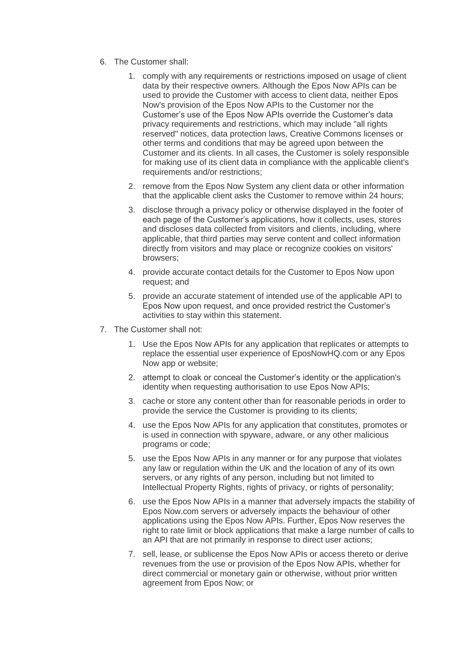- 6. The Customer shall:
	- 1. comply with any requirements or restrictions imposed on usage of client data by their respective owners. Although the Epos Now APIs can be used to provide the Customer with access to client data, neither Epos Now's provision of the Epos Now APIs to the Customer nor the Customer's use of the Epos Now APIs override the Customer's data privacy requirements and restrictions, which may include "all rights reserved" notices, data protection laws, Creative Commons licenses or other terms and conditions that may be agreed upon between the Customer and its clients. In all cases, the Customer is solely responsible for making use of its client data in compliance with the applicable client's requirements and/or restrictions;
	- 2. remove from the Epos Now System any client data or other information that the applicable client asks the Customer to remove within 24 hours;
	- 3. disclose through a privacy policy or otherwise displayed in the footer of each page of the Customer's applications, how it collects, uses, stores and discloses data collected from visitors and clients, including, where applicable, that third parties may serve content and collect information directly from visitors and may place or recognize cookies on visitors' browsers;
	- 4. provide accurate contact details for the Customer to Epos Now upon request; and
	- 5. provide an accurate statement of intended use of the applicable API to Epos Now upon request, and once provided restrict the Customer's activities to stay within this statement.
- 7. The Customer shall not:
	- 1. Use the Epos Now APIs for any application that replicates or attempts to replace the essential user experience of EposNowHQ.com or any Epos Now app or website;
	- 2. attempt to cloak or conceal the Customer's identity or the application's identity when requesting authorisation to use Epos Now APIs;
	- 3. cache or store any content other than for reasonable periods in order to provide the service the Customer is providing to its clients;
	- 4. use the Epos Now APIs for any application that constitutes, promotes or is used in connection with spyware, adware, or any other malicious programs or code;
	- 5. use the Epos Now APIs in any manner or for any purpose that violates any law or regulation within the UK and the location of any of its own servers, or any rights of any person, including but not limited to Intellectual Property Rights, rights of privacy, or rights of personality;
	- 6. use the Epos Now APIs in a manner that adversely impacts the stability of Epos Now.com servers or adversely impacts the behaviour of other applications using the Epos Now APIs. Further, Epos Now reserves the right to rate limit or block applications that make a large number of calls to an API that are not primarily in response to direct user actions;
	- 7. sell, lease, or sublicense the Epos Now APIs or access thereto or derive revenues from the use or provision of the Epos Now APIs, whether for direct commercial or monetary gain or otherwise, without prior written agreement from Epos Now; or